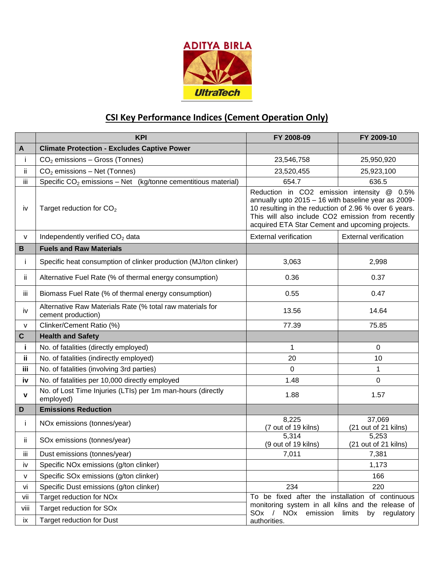

## **CSI Key Performance Indices (Cement Operation Only)**

|             | <b>KPI</b>                                                                      | FY 2008-09                                                                                                                                                                                                                                                         | FY 2009-10                     |
|-------------|---------------------------------------------------------------------------------|--------------------------------------------------------------------------------------------------------------------------------------------------------------------------------------------------------------------------------------------------------------------|--------------------------------|
| A           | <b>Climate Protection - Excludes Captive Power</b>                              |                                                                                                                                                                                                                                                                    |                                |
| j.          | $CO2$ emissions - Gross (Tonnes)                                                | 23,546,758                                                                                                                                                                                                                                                         | 25,950,920                     |
| ii.         | CO <sub>2</sub> emissions - Net (Tonnes)                                        | 23,520,455                                                                                                                                                                                                                                                         | 25,923,100                     |
| iii         | Specific $CO2$ emissions – Net (kg/tonne cementitious material)                 | 654.7                                                                                                                                                                                                                                                              | 636.5                          |
| iv          | Target reduction for $CO2$                                                      | Reduction in CO2 emission intensity @ 0.5%<br>annually upto 2015 - 16 with baseline year as 2009-<br>10 resulting in the reduction of 2.96 % over 6 years.<br>This will also include CO2 emission from recently<br>acquired ETA Star Cement and upcoming projects. |                                |
| V           | Independently verified CO <sub>2</sub> data                                     | <b>External verification</b>                                                                                                                                                                                                                                       | <b>External verification</b>   |
| $\mathbf B$ | <b>Fuels and Raw Materials</b>                                                  |                                                                                                                                                                                                                                                                    |                                |
| j.          | Specific heat consumption of clinker production (MJ/ton clinker)                | 3,063                                                                                                                                                                                                                                                              | 2,998                          |
| ji.         | Alternative Fuel Rate (% of thermal energy consumption)                         | 0.36                                                                                                                                                                                                                                                               | 0.37                           |
| iii.        | Biomass Fuel Rate (% of thermal energy consumption)                             | 0.55                                                                                                                                                                                                                                                               | 0.47                           |
| iv          | Alternative Raw Materials Rate (% total raw materials for<br>cement production) | 13.56                                                                                                                                                                                                                                                              | 14.64                          |
| v           | Clinker/Cement Ratio (%)                                                        | 77.39                                                                                                                                                                                                                                                              | 75.85                          |
| $\mathbf C$ | <b>Health and Safety</b>                                                        |                                                                                                                                                                                                                                                                    |                                |
| j.          | No. of fatalities (directly employed)                                           | $\mathbf{1}$                                                                                                                                                                                                                                                       | $\mathbf 0$                    |
| ij.         | No. of fatalities (indirectly employed)                                         | 20                                                                                                                                                                                                                                                                 | 10                             |
| iii         | No. of fatalities (involving 3rd parties)                                       | $\mathbf 0$                                                                                                                                                                                                                                                        | 1                              |
| iv          | No. of fatalities per 10,000 directly employed                                  | 1.48                                                                                                                                                                                                                                                               | $\mathbf 0$                    |
| v           | No. of Lost Time Injuries (LTIs) per 1m man-hours (directly<br>employed)        | 1.88                                                                                                                                                                                                                                                               | 1.57                           |
| D           | <b>Emissions Reduction</b>                                                      |                                                                                                                                                                                                                                                                    |                                |
| j.          | NOx emissions (tonnes/year)                                                     | 8,225<br>(7 out of 19 kilns)                                                                                                                                                                                                                                       | 37,069<br>(21 out of 21 kilns) |
| ii.         | SOx emissions (tonnes/year)                                                     | 5,314<br>(9 out of 19 kilns)                                                                                                                                                                                                                                       | 5,253<br>(21 out of 21 kilns)  |
| iii         | Dust emissions (tonnes/year)                                                    | 7,011                                                                                                                                                                                                                                                              | 7,381                          |
| iv          | Specific NOx emissions (g/ton clinker)                                          |                                                                                                                                                                                                                                                                    | 1,173                          |
| V           | Specific SOx emissions (g/ton clinker)                                          |                                                                                                                                                                                                                                                                    | 166                            |
| vi          | Specific Dust emissions (g/ton clinker)                                         | 234                                                                                                                                                                                                                                                                | 220                            |
| vii         | Target reduction for NOx                                                        | To be fixed after the installation of continuous                                                                                                                                                                                                                   |                                |
| viii        | Target reduction for SOx                                                        | monitoring system in all kilns and the release of<br>SOx / NOx emission                                                                                                                                                                                            | limits<br>by<br>regulatory     |
| ix          | <b>Target reduction for Dust</b>                                                | authorities.                                                                                                                                                                                                                                                       |                                |